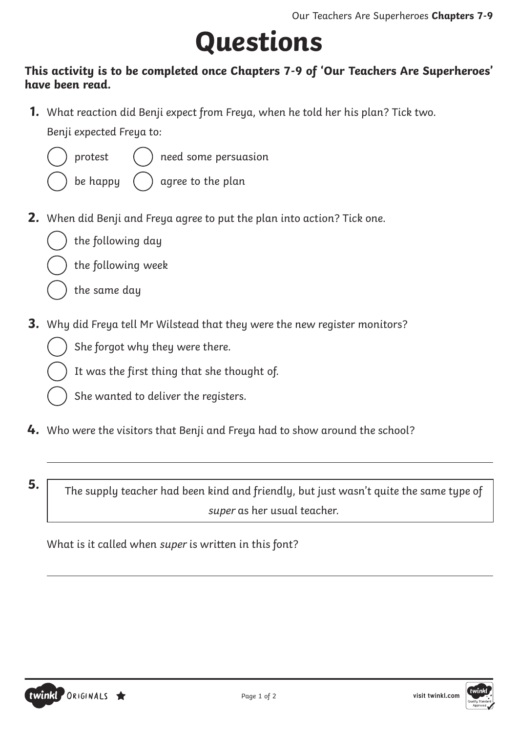# **Questions**

#### **This activity is to be completed once Chapters 7-9 of 'Our Teachers Are Superheroes' have been read.**

**1.** What reaction did Benji expect from Freya, when he told her his plan? Tick two. Benji expected Freya to:



protest

need some persuasion

be happy

agree to the plan

**2.** When did Benji and Freya agree to put the plan into action? Tick one.



the following week

the same day

- **3.** Why did Freya tell Mr Wilstead that they were the new register monitors?
	- She forgot why they were there.
		- It was the first thing that she thought of.
	- She wanted to deliver the registers.
- **4.** Who were the visitors that Benji and Freya had to show around the school?
- 

**5.** The supply teacher had been kind and friendly, but just wasn't quite the same type of super as her usual teacher.

What is it called when super is written in this font?



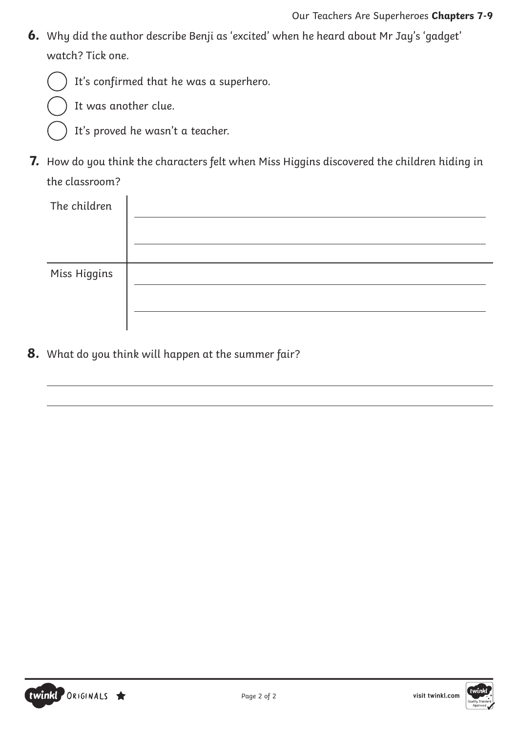**6.** Why did the author describe Benji as 'excited' when he heard about Mr Jay's 'gadget' watch? Tick one.





It was another clue.

- It's proved he wasn't a teacher.
- **7.** How do you think the characters felt when Miss Higgins discovered the children hiding in the classroom?

| The children |  |
|--------------|--|
|              |  |
|              |  |
| Miss Higgins |  |
|              |  |
|              |  |

**8.** What do you think will happen at the summer fair?

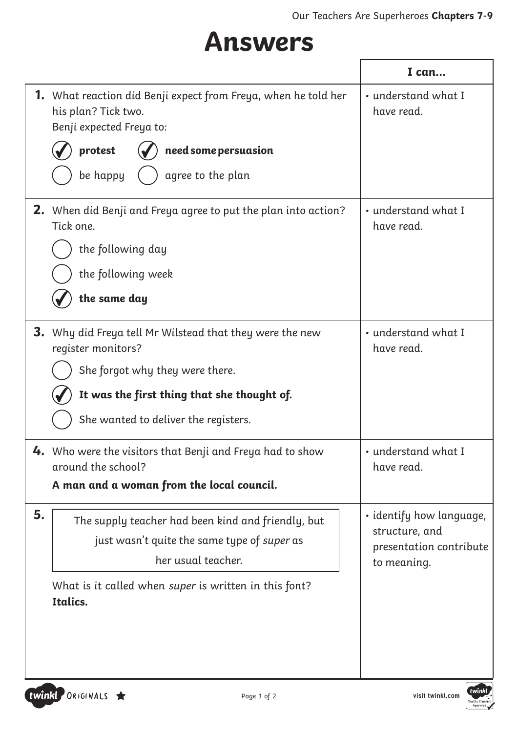### **Answers**

|    |                                                                                                                          | I can                                     |
|----|--------------------------------------------------------------------------------------------------------------------------|-------------------------------------------|
|    | <b>1.</b> What reaction did Benji expect from Freya, when he told her<br>his plan? Tick two.<br>Benji expected Freya to: | • understand what I<br>have read.         |
|    | need some persuasion<br>protest                                                                                          |                                           |
|    | be happy<br>agree to the plan                                                                                            |                                           |
|    | <b>2.</b> When did Benji and Freya agree to put the plan into action?<br>Tick one.                                       | • understand what I<br>have read.         |
|    | the following day                                                                                                        |                                           |
|    | the following week                                                                                                       |                                           |
|    | the same day                                                                                                             |                                           |
|    | <b>3.</b> Why did Freya tell Mr Wilstead that they were the new<br>register monitors?                                    | • understand what I<br>have read.         |
|    | She forgot why they were there.                                                                                          |                                           |
|    | It was the first thing that she thought of.                                                                              |                                           |
|    | She wanted to deliver the registers.                                                                                     |                                           |
|    | 4. Who were the visitors that Benji and Freya had to show<br>around the school?                                          | • understand what I<br>have read.         |
|    | A man and a woman from the local council.                                                                                |                                           |
| 5. | The supply teacher had been kind and friendly, but                                                                       | · identify how language,                  |
|    | just wasn't quite the same type of super as                                                                              | structure, and<br>presentation contribute |
|    | her usual teacher.                                                                                                       | to meaning.                               |
|    | What is it called when super is written in this font?<br>Italics.                                                        |                                           |
|    |                                                                                                                          |                                           |
|    |                                                                                                                          |                                           |
|    |                                                                                                                          |                                           |

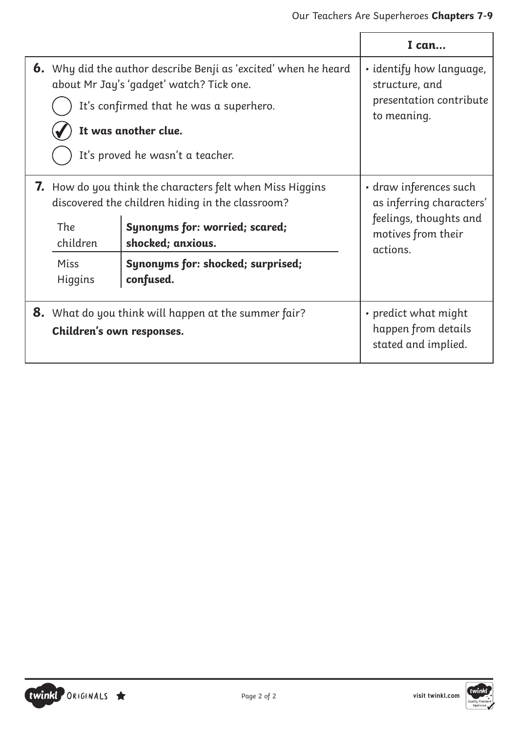|                                                                                                                                                                                                                           |                                                                                                                                                                                                                                      | I can                                                                                                          |
|---------------------------------------------------------------------------------------------------------------------------------------------------------------------------------------------------------------------------|--------------------------------------------------------------------------------------------------------------------------------------------------------------------------------------------------------------------------------------|----------------------------------------------------------------------------------------------------------------|
| <b>6.</b> Why did the author describe Benji as 'excited' when he heard<br>about Mr Jay's 'gadget' watch? Tick one.<br>It's confirmed that he was a superhero.<br>It was another clue.<br>It's proved he wasn't a teacher. |                                                                                                                                                                                                                                      | · identify how language,<br>structure, and<br>presentation contribute<br>to meaning.                           |
| The<br>children<br>Miss<br>Higgins                                                                                                                                                                                        | <b>7.</b> How do you think the characters felt when Miss Higgins<br>discovered the children hiding in the classroom?<br><b>Synonyms for: worried; scared;</b><br>shocked; anxious.<br>Synonyms for: shocked; surprised;<br>confused. | • draw inferences such<br>as inferring characters'<br>feelings, thoughts and<br>motives from their<br>actions. |
| <b>8.</b> What do you think will happen at the summer fair?<br>Children's own responses.                                                                                                                                  |                                                                                                                                                                                                                                      | • predict what might<br>happen from details<br>stated and implied.                                             |

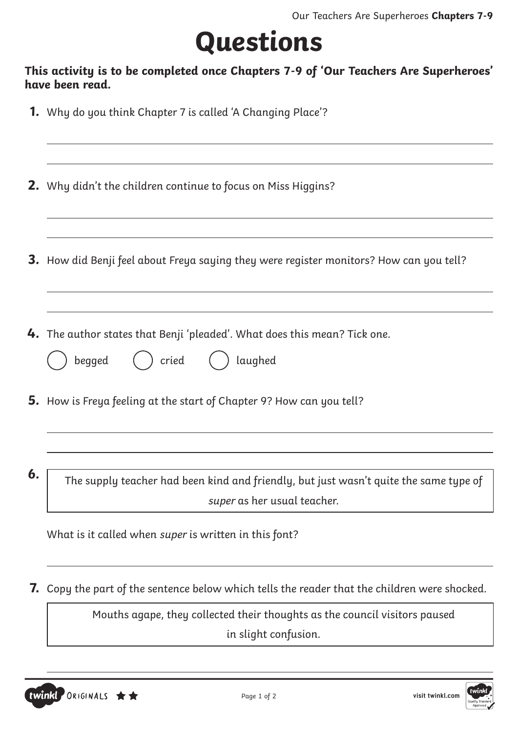## **Questions**

#### **This activity is to be completed once Chapters 7-9 of 'Our Teachers Are Superheroes' have been read.**

- **1.** Why do you think Chapter 7 is called 'A Changing Place'?
- **2.** Why didn't the children continue to focus on Miss Higgins?
- **3.** How did Benji feel about Freya saying they were register monitors? How can you tell?
- **4.** The author states that Benji 'pleaded'. What does this mean? Tick one.

| beaged | cried | laughed |
|--------|-------|---------|
|        |       |         |

- **5.** How is Freya feeling at the start of Chapter 9? How can you tell?
- 

**6.** The supply teacher had been kind and friendly, but just wasn't quite the same type of super as her usual teacher.

What is it called when super is written in this font?

**7.** Copy the part of the sentence below which tells the reader that the children were shocked.

Mouths agape, they collected their thoughts as the council visitors paused in slight confusion.

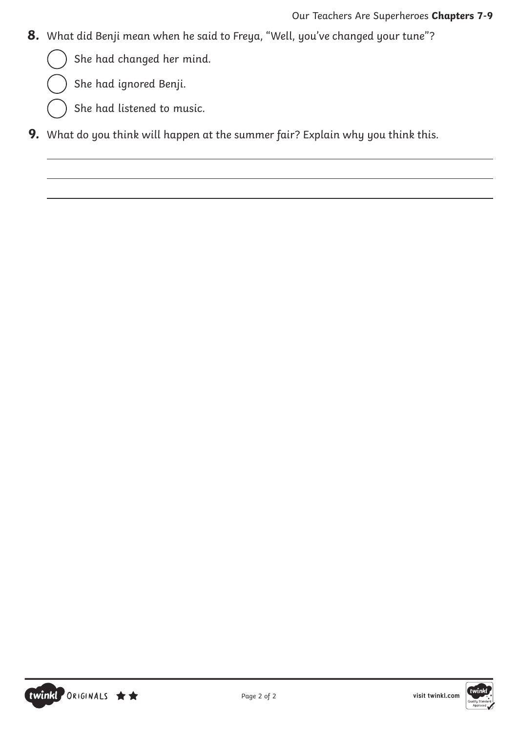- **8.** What did Benji mean when he said to Freya, "Well, you've changed your tune"?
	- She had changed her mind.
	- She had ignored Benji.
	- She had listened to music.
- **9.** What do you think will happen at the summer fair? Explain why you think this.



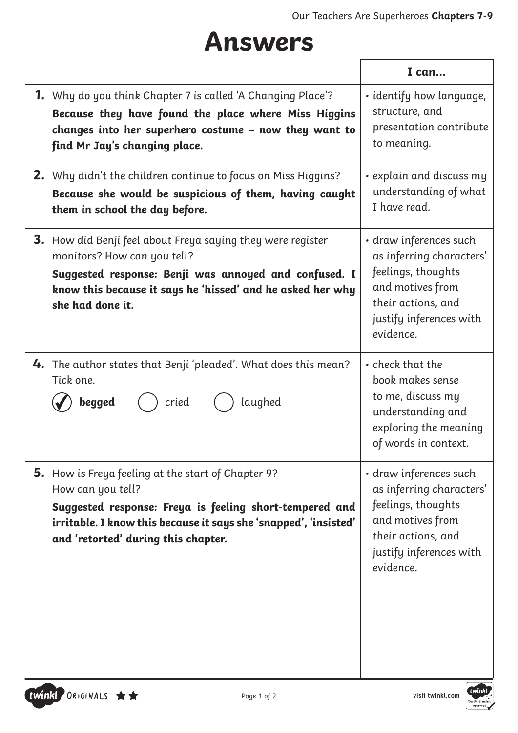### **Answers**

|                                                                                                                                                                                                                                                      | I can                                                                                                                                                      |
|------------------------------------------------------------------------------------------------------------------------------------------------------------------------------------------------------------------------------------------------------|------------------------------------------------------------------------------------------------------------------------------------------------------------|
| <b>1.</b> Why do you think Chapter 7 is called 'A Changing Place'?<br>Because they have found the place where Miss Higgins<br>changes into her superhero costume - now they want to<br>find Mr Jay's changing place.                                 | · identify how language,<br>structure, and<br>presentation contribute<br>to meaning.                                                                       |
| <b>2.</b> Why didn't the children continue to focus on Miss Higgins?<br>Because she would be suspicious of them, having caught<br>them in school the day before.                                                                                     | $\cdot$ explain and discuss my<br>understanding of what<br>I have read.                                                                                    |
| <b>3.</b> How did Benji feel about Freya saying they were register<br>monitors? How can you tell?<br>Suggested response: Benji was annoyed and confused. I<br>know this because it says he 'hissed' and he asked her why<br>she had done it.         | • draw inferences such<br>as inferring characters'<br>feelings, thoughts<br>and motives from<br>their actions, and<br>justify inferences with<br>evidence. |
| <b>4.</b> The author states that Benji 'pleaded'. What does this mean?<br>Tick one.<br>begged<br>laughed<br>cried                                                                                                                                    | • check that the<br>book makes sense<br>to me, discuss my<br>understanding and<br>exploring the meaning<br>of words in context.                            |
| <b>5.</b> How is Freya feeling at the start of Chapter 9?<br>How can you tell?<br>Suggested response: Freya is feeling short-tempered and<br>irritable. I know this because it says she 'snapped', 'insisted'<br>and 'retorted' during this chapter. | · draw inferences such<br>as inferring characters'<br>feelings, thoughts<br>and motives from<br>their actions, and<br>justify inferences with<br>evidence. |

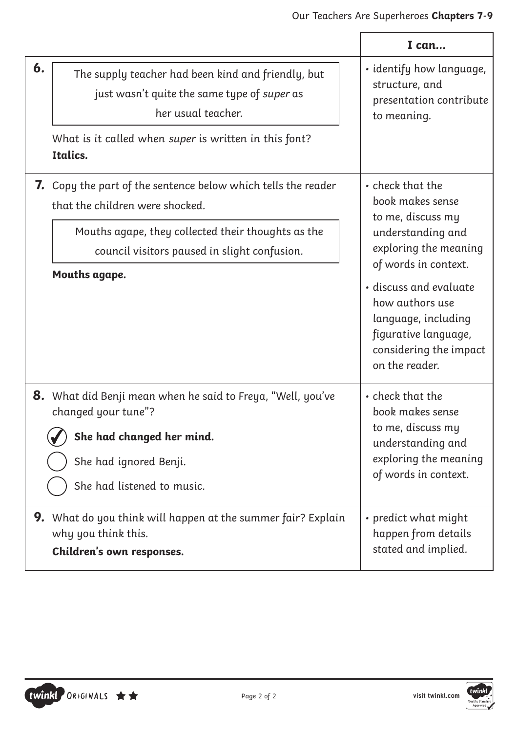|    |                                                                                                                                                                                                                                | I can                                                                                                                                                                                                                                                                   |
|----|--------------------------------------------------------------------------------------------------------------------------------------------------------------------------------------------------------------------------------|-------------------------------------------------------------------------------------------------------------------------------------------------------------------------------------------------------------------------------------------------------------------------|
| 6. | The supply teacher had been kind and friendly, but<br>just wasn't quite the same type of super as<br>her usual teacher.<br>What is it called when super is written in this font?<br>Italics.                                   | · identify how language,<br>structure, and<br>presentation contribute<br>to meaning.                                                                                                                                                                                    |
|    | <b>7.</b> Copy the part of the sentence below which tells the reader<br>that the children were shocked.<br>Mouths agape, they collected their thoughts as the<br>council visitors paused in slight confusion.<br>Mouths agape. | • check that the<br>book makes sense<br>to me, discuss my<br>understanding and<br>exploring the meaning<br>of words in context.<br>· discuss and evaluate<br>how authors use<br>language, including<br>figurative language,<br>considering the impact<br>on the reader. |
|    | <b>8.</b> What did Benji mean when he said to Freya, "Well, you've<br>changed your tune"?<br>She had changed her mind.<br>She had ignored Benji.<br>She had listened to music.                                                 | • check that the<br>book makes sense<br>to me, discuss my<br>understanding and<br>exploring the meaning<br>of words in context.                                                                                                                                         |
|    | <b>9.</b> What do you think will happen at the summer fair? Explain<br>why you think this.<br>Children's own responses.                                                                                                        | • predict what might<br>happen from details<br>stated and implied.                                                                                                                                                                                                      |

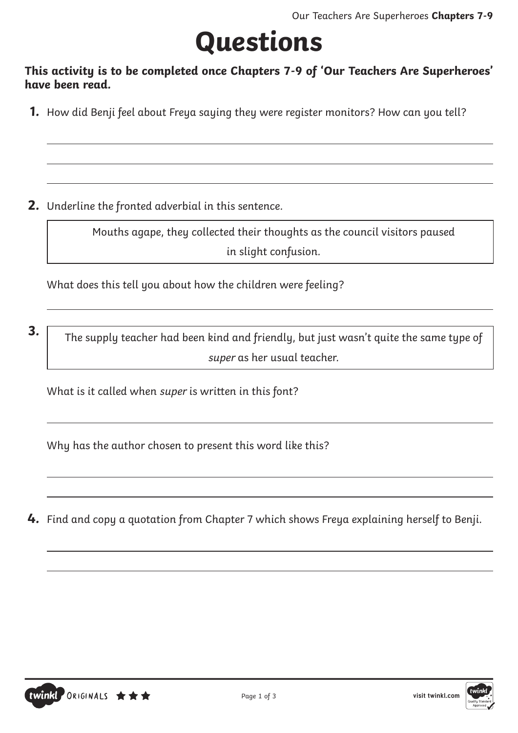## **Questions**

**This activity is to be completed once Chapters 7-9 of 'Our Teachers Are Superheroes' have been read.**

**1.** How did Benji feel about Freya saying they were register monitors? How can you tell?

**2.** Underline the fronted adverbial in this sentence.

Mouths agape, they collected their thoughts as the council visitors paused in slight confusion.

What does this tell you about how the children were feeling?

**3.** The supply teacher had been kind and friendly, but just wasn't quite the same type of super as her usual teacher.

What is it called when super is written in this font?

Why has the author chosen to present this word like this?

**4.** Find and copy a quotation from Chapter 7 which shows Freya explaining herself to Benji.

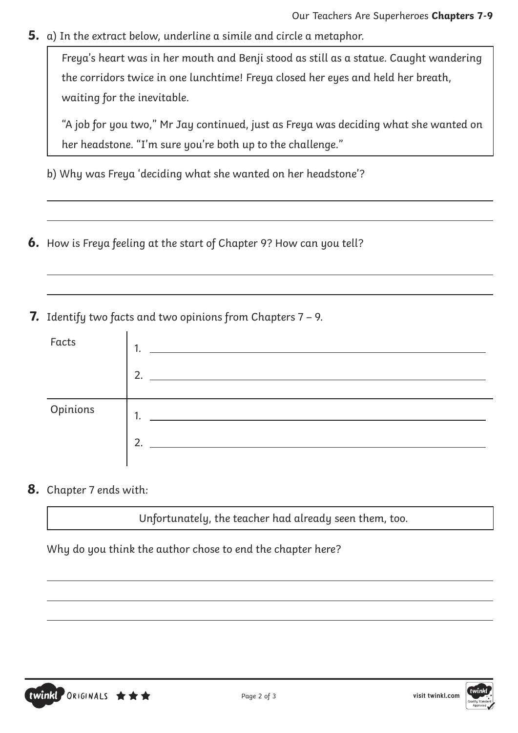**5.** a) In the extract below, underline a simile and circle a metaphor.

Freya's heart was in her mouth and Benji stood as still as a statue. Caught wandering the corridors twice in one lunchtime! Freya closed her eyes and held her breath, waiting for the inevitable.

"A job for you two," Mr Jay continued, just as Freya was deciding what she wanted on her headstone. "I'm sure you're both up to the challenge."

- b) Why was Freya 'deciding what she wanted on her headstone'?
- **6.** How is Freya feeling at the start of Chapter 9? How can you tell?

**7.** Identify two facts and two opinions from Chapters 7 – 9.

| Facts    | 1.<br>っ                   |
|----------|---------------------------|
| Opinions | 1.<br>$\mathcal{D}$<br>۷. |

**8.** Chapter 7 ends with:

Unfortunately, the teacher had already seen them, too.

Why do you think the author chose to end the chapter here?



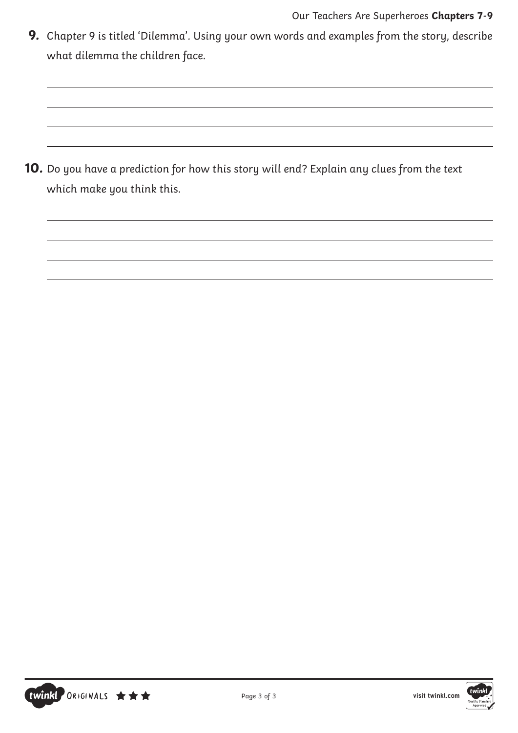**9.** Chapter 9 is titled 'Dilemma'. Using your own words and examples from the story, describe what dilemma the children face.

**10.** Do you have a prediction for how this story will end? Explain any clues from the text which make you think this.

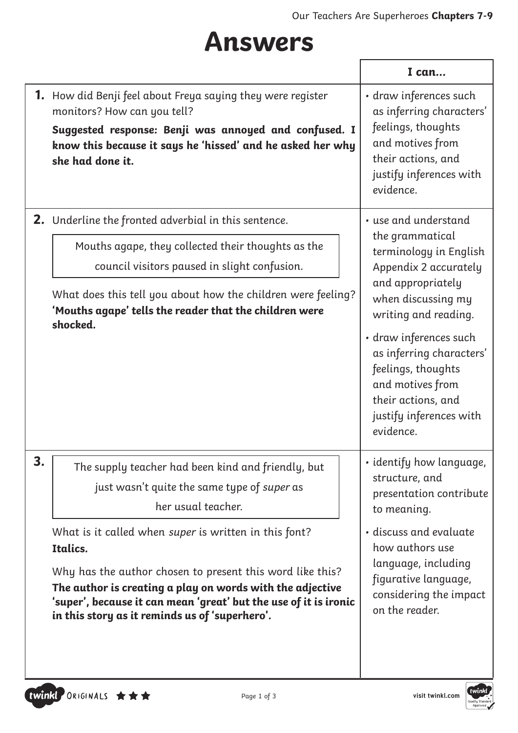## **Answers**

|    |                                                                                                                                                                                                                                                                                                                                                                                                                                              | I can                                                                                                                                                                                                                                                                                                                       |
|----|----------------------------------------------------------------------------------------------------------------------------------------------------------------------------------------------------------------------------------------------------------------------------------------------------------------------------------------------------------------------------------------------------------------------------------------------|-----------------------------------------------------------------------------------------------------------------------------------------------------------------------------------------------------------------------------------------------------------------------------------------------------------------------------|
|    | <b>1.</b> How did Benji feel about Freya saying they were register<br>monitors? How can you tell?<br>Suggested response: Benji was annoyed and confused. I<br>know this because it says he 'hissed' and he asked her why<br>she had done it.                                                                                                                                                                                                 | · draw inferences such<br>as inferring characters'<br>feelings, thoughts<br>and motives from<br>their actions, and<br>justify inferences with<br>evidence.                                                                                                                                                                  |
|    | <b>2.</b> Underline the fronted adverbial in this sentence.<br>Mouths agape, they collected their thoughts as the<br>council visitors paused in slight confusion.<br>What does this tell you about how the children were feeling?<br>'Mouths agape' tells the reader that the children were<br>shocked.                                                                                                                                      | • use and understand<br>the grammatical<br>terminology in English<br>Appendix 2 accurately<br>and appropriately<br>when discussing my<br>writing and reading.<br>· draw inferences such<br>as inferring characters'<br>feelings, thoughts<br>and motives from<br>their actions, and<br>justify inferences with<br>evidence. |
| 3. | The supply teacher had been kind and friendly, but<br>just wasn't quite the same type of super as<br>her usual teacher.<br>What is it called when super is written in this font?<br>Italics.<br>Why has the author chosen to present this word like this?<br>The author is creating a play on words with the adjective<br>'super', because it can mean 'great' but the use of it is ironic<br>in this story as it reminds us of 'superhero'. | • identify how language,<br>structure, and<br>presentation contribute<br>to meaning.<br>· discuss and evaluate<br>how authors use<br>language, including<br>figurative language,<br>considering the impact<br>on the reader.                                                                                                |

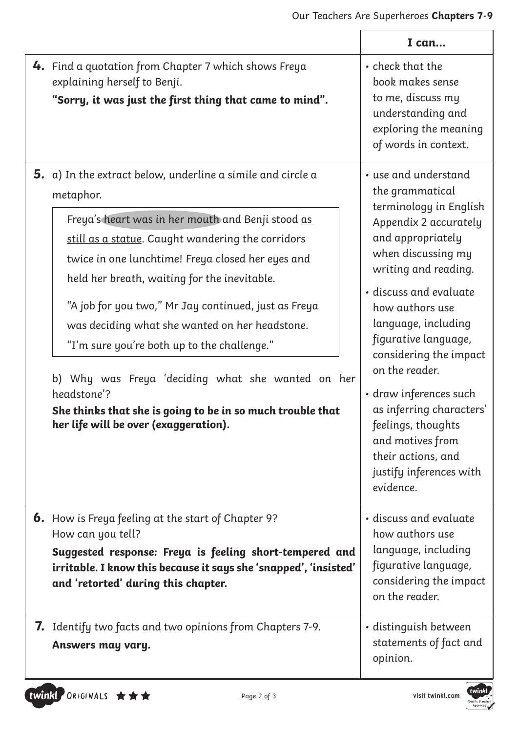|                                                                                                                                                                                                                                                                                                                                                                                                                                                                                                                                                                                                                                           | I can                                                                                                                                                                                                                                                                                                                                                                                                                                                               |
|-------------------------------------------------------------------------------------------------------------------------------------------------------------------------------------------------------------------------------------------------------------------------------------------------------------------------------------------------------------------------------------------------------------------------------------------------------------------------------------------------------------------------------------------------------------------------------------------------------------------------------------------|---------------------------------------------------------------------------------------------------------------------------------------------------------------------------------------------------------------------------------------------------------------------------------------------------------------------------------------------------------------------------------------------------------------------------------------------------------------------|
| <b>4.</b> Find a quotation from Chapter 7 which shows Freya<br>explaining herself to Benji.<br>"Sorry, it was just the first thing that came to mind".                                                                                                                                                                                                                                                                                                                                                                                                                                                                                    | • check that the<br>book makes sense<br>to me, discuss my<br>understanding and<br>exploring the meaning<br>of words in context.                                                                                                                                                                                                                                                                                                                                     |
| <b>5.</b> a) In the extract below, underline a simile and circle $\alpha$<br>metaphor.<br>Freya's heart was in her mouth and Benji stood as<br>still as a statue. Caught wandering the corridors<br>twice in one lunchtime! Freya closed her eyes and<br>held her breath, waiting for the inevitable.<br>"A job for you two," Mr Jay continued, just as Freya<br>was deciding what she wanted on her headstone.<br>"I'm sure you're both up to the challenge."<br>b) Why was Freya 'deciding what she wanted on her<br>headstone'?<br>She thinks that she is going to be in so much trouble that<br>her life will be over (exaggeration). | • use and understand<br>the grammatical<br>terminology in English<br>Appendix 2 accurately<br>and appropriately<br>when discussing my<br>writing and reading.<br>· discuss and evaluate<br>how authors use<br>language, including<br>figurative language,<br>considering the impact<br>on the reader.<br>· draw inferences such<br>as inferring characters'<br>feelings, thoughts<br>and motives from<br>their actions, and<br>justify inferences with<br>evidence. |
| <b>6.</b> How is Freya feeling at the start of Chapter 9?<br>How can you tell?<br>Suggested response: Freya is feeling short-tempered and<br>irritable. I know this because it says she 'snapped', 'insisted'<br>and 'retorted' during this chapter.                                                                                                                                                                                                                                                                                                                                                                                      | • discuss and evaluate<br>how authors use<br>language, including<br>figurative language,<br>considering the impact<br>on the reader.                                                                                                                                                                                                                                                                                                                                |
| 7. Identify two facts and two opinions from Chapters 7-9.<br>Answers may vary.                                                                                                                                                                                                                                                                                                                                                                                                                                                                                                                                                            | · distinguish between<br>statements of fact and<br>opinion.                                                                                                                                                                                                                                                                                                                                                                                                         |